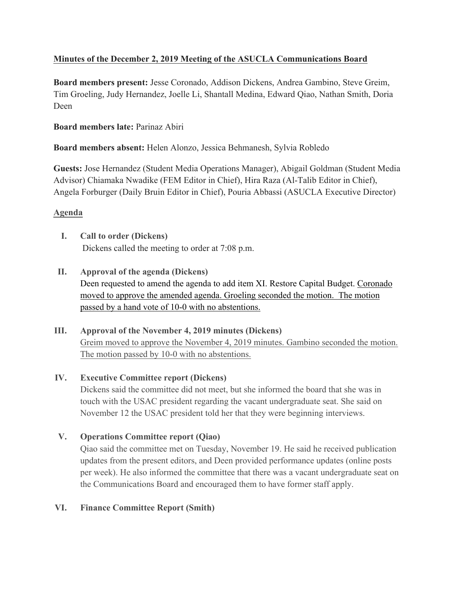# **Minutes of the December 2, 2019 Meeting of the ASUCLA Communications Board**

**Board members present:** Jesse Coronado, Addison Dickens, Andrea Gambino, Steve Greim, Tim Groeling, Judy Hernandez, Joelle Li, Shantall Medina, Edward Qiao, Nathan Smith, Doria Deen

## **Board members late:** Parinaz Abiri

# **Board members absent:** Helen Alonzo, Jessica Behmanesh, Sylvia Robledo

**Guests:** Jose Hernandez (Student Media Operations Manager), Abigail Goldman (Student Media Advisor) Chiamaka Nwadike (FEM Editor in Chief), Hira Raza (Al-Talib Editor in Chief), Angela Forburger (Daily Bruin Editor in Chief), Pouria Abbassi (ASUCLA Executive Director)

## **Agenda**

- **I. Call to order (Dickens)** Dickens called the meeting to order at 7:08 p.m.
- **II. Approval of the agenda (Dickens)** Deen requested to amend the agenda to add item XI. Restore Capital Budget. Coronado moved to approve the amended agenda. Groeling seconded the motion. The motion passed by a hand vote of 10-0 with no abstentions.

# **III. Approval of the November 4, 2019 minutes (Dickens)**

Greim moved to approve the November 4, 2019 minutes. Gambino seconded the motion. The motion passed by 10-0 with no abstentions.

# **IV. Executive Committee report (Dickens)**

Dickens said the committee did not meet, but she informed the board that she was in touch with the USAC president regarding the vacant undergraduate seat. She said on November 12 the USAC president told her that they were beginning interviews.

# **V. Operations Committee report (Qiao)**

Qiao said the committee met on Tuesday, November 19. He said he received publication updates from the present editors, and Deen provided performance updates (online posts per week). He also informed the committee that there was a vacant undergraduate seat on the Communications Board and encouraged them to have former staff apply.

# **VI. Finance Committee Report (Smith)**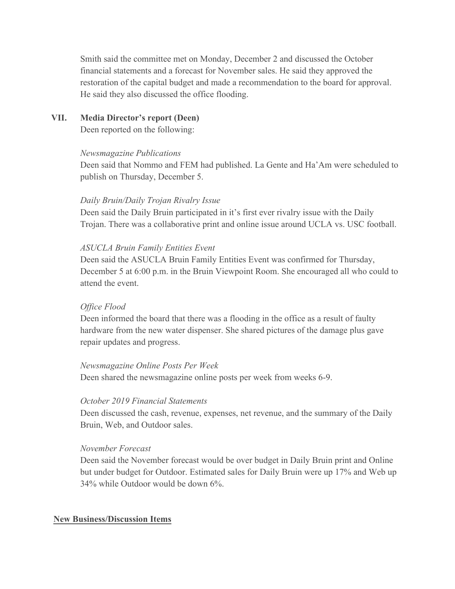Smith said the committee met on Monday, December 2 and discussed the October financial statements and a forecast for November sales. He said they approved the restoration of the capital budget and made a recommendation to the board for approval. He said they also discussed the office flooding.

#### **VII. Media Director's report (Deen)**

Deen reported on the following:

#### *Newsmagazine Publications*

Deen said that Nommo and FEM had published. La Gente and Ha'Am were scheduled to publish on Thursday, December 5.

### *Daily Bruin/Daily Trojan Rivalry Issue*

Deen said the Daily Bruin participated in it's first ever rivalry issue with the Daily Trojan. There was a collaborative print and online issue around UCLA vs. USC football.

### *ASUCLA Bruin Family Entities Event*

Deen said the ASUCLA Bruin Family Entities Event was confirmed for Thursday, December 5 at 6:00 p.m. in the Bruin Viewpoint Room. She encouraged all who could to attend the event.

### *Office Flood*

Deen informed the board that there was a flooding in the office as a result of faulty hardware from the new water dispenser. She shared pictures of the damage plus gave repair updates and progress.

#### *Newsmagazine Online Posts Per Week*

Deen shared the newsmagazine online posts per week from weeks 6-9.

#### *October 2019 Financial Statements*

Deen discussed the cash, revenue, expenses, net revenue, and the summary of the Daily Bruin, Web, and Outdoor sales.

#### *November Forecast*

Deen said the November forecast would be over budget in Daily Bruin print and Online but under budget for Outdoor. Estimated sales for Daily Bruin were up 17% and Web up 34% while Outdoor would be down 6%.

#### **New Business/Discussion Items**